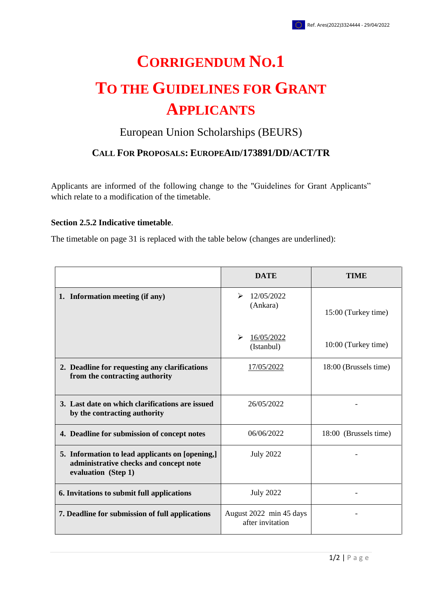## **CORRIGENDUM NO.1 TO THE GUIDELINES FOR GRANT APPLICANTS**

## European Union Scholarships (BEURS)

## **CALL FOR PROPOSALS: EUROPEAID/173891/DD/ACT/TR**

Applicants are informed of the following change to the "Guidelines for Grant Applicants" which relate to a modification of the timetable.

## **Section 2.5.2 Indicative timetable**.

The timetable on page 31 is replaced with the table below (changes are underlined):

|                                                                                                                  | <b>DATE</b>                                 | <b>TIME</b>           |
|------------------------------------------------------------------------------------------------------------------|---------------------------------------------|-----------------------|
| 1. Information meeting (if any)                                                                                  | 12/05/2022<br>➤<br>(Ankara)                 | 15:00 (Turkey time)   |
|                                                                                                                  | ➤<br>16/05/2022<br>(Istanbul)               | 10:00 (Turkey time)   |
| 2. Deadline for requesting any clarifications<br>from the contracting authority                                  | 17/05/2022                                  | 18:00 (Brussels time) |
| 3. Last date on which clarifications are issued<br>by the contracting authority                                  | 26/05/2022                                  |                       |
| 4. Deadline for submission of concept notes                                                                      | 06/06/2022                                  | 18:00 (Brussels time) |
| 5. Information to lead applicants on [opening,]<br>administrative checks and concept note<br>evaluation (Step 1) | <b>July 2022</b>                            |                       |
| 6. Invitations to submit full applications                                                                       | <b>July 2022</b>                            |                       |
| 7. Deadline for submission of full applications                                                                  | August 2022 min 45 days<br>after invitation |                       |